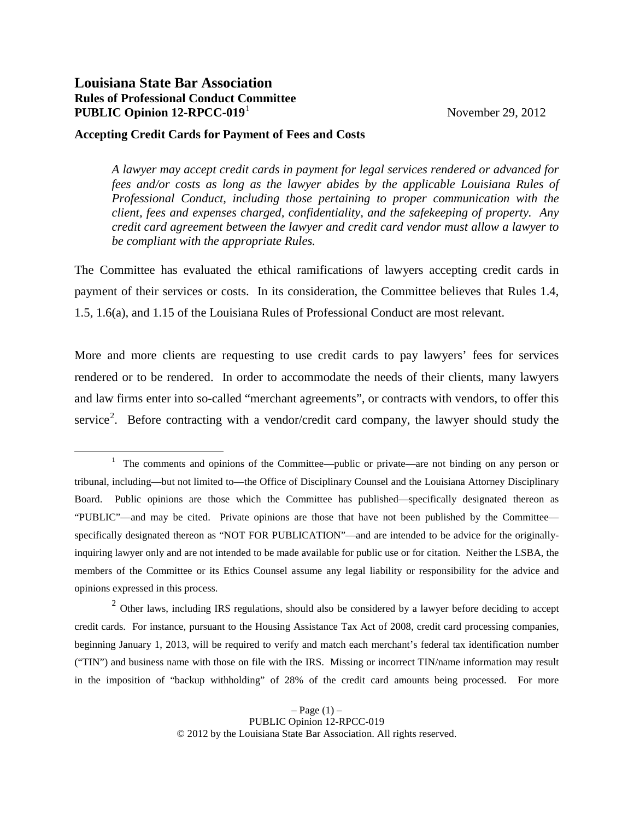## **Louisiana State Bar Association Rules of Professional Conduct Committee PUBLIC Opinion [1](#page-0-0)2-RPCC-019<sup>1</sup> November 29, 2012**

## **Accepting Credit Cards for Payment of Fees and Costs**

*A lawyer may accept credit cards in payment for legal services rendered or advanced for fees and/or costs as long as the lawyer abides by the applicable Louisiana Rules of Professional Conduct, including those pertaining to proper communication with the client, fees and expenses charged, confidentiality, and the safekeeping of property. Any credit card agreement between the lawyer and credit card vendor must allow a lawyer to be compliant with the appropriate Rules.*

The Committee has evaluated the ethical ramifications of lawyers accepting credit cards in payment of their services or costs. In its consideration, the Committee believes that Rules 1.4, 1.5, 1.6(a), and 1.15 of the Louisiana Rules of Professional Conduct are most relevant.

More and more clients are requesting to use credit cards to pay lawyers' fees for services rendered or to be rendered. In order to accommodate the needs of their clients, many lawyers and law firms enter into so-called "merchant agreements", or contracts with vendors, to offer this service<sup>[2](#page-0-1)</sup>. Before contracting with a vendor/credit card company, the lawyer should study the

<span id="page-0-1"></span><sup>2</sup> Other laws, including IRS regulations, should also be considered by a lawyer before deciding to accept credit cards. For instance, pursuant to the Housing Assistance Tax Act of 2008, credit card processing companies, beginning January 1, 2013, will be required to verify and match each merchant's federal tax identification number ("TIN") and business name with those on file with the IRS. Missing or incorrect TIN/name information may result in the imposition of "backup withholding" of 28% of the credit card amounts being processed. For more

<span id="page-0-0"></span><sup>&</sup>lt;u>1</u>  $1$  The comments and opinions of the Committee—public or private—are not binding on any person or tribunal, including—but not limited to—the Office of Disciplinary Counsel and the Louisiana Attorney Disciplinary Board. Public opinions are those which the Committee has published—specifically designated thereon as "PUBLIC"—and may be cited. Private opinions are those that have not been published by the Committee specifically designated thereon as "NOT FOR PUBLICATION"—and are intended to be advice for the originallyinquiring lawyer only and are not intended to be made available for public use or for citation. Neither the LSBA, the members of the Committee or its Ethics Counsel assume any legal liability or responsibility for the advice and opinions expressed in this process.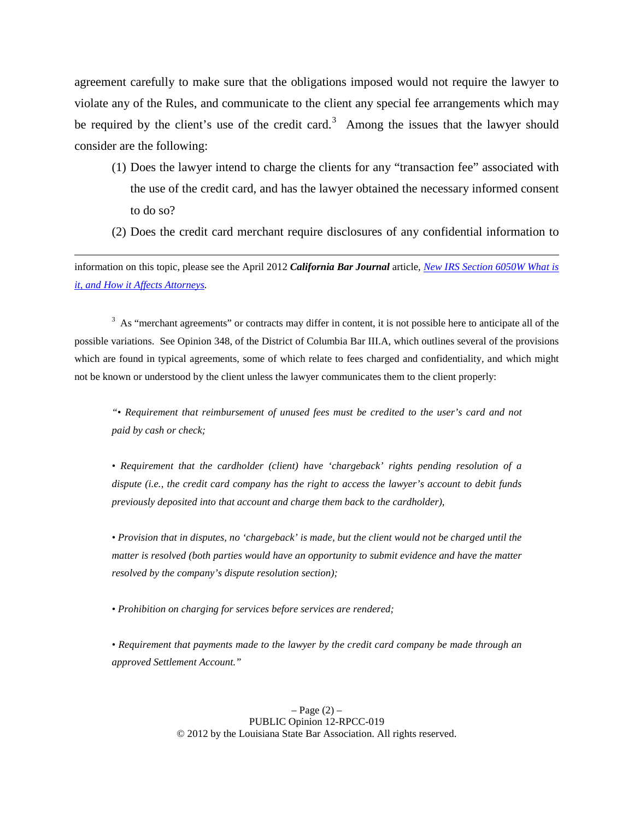agreement carefully to make sure that the obligations imposed would not require the lawyer to violate any of the Rules, and communicate to the client any special fee arrangements which may be required by the client's use of the credit card.<sup>[3](#page-1-0)</sup> Among the issues that the lawyer should consider are the following:

- (1) Does the lawyer intend to charge the clients for any "transaction fee" associated with the use of the credit card, and has the lawyer obtained the necessary informed consent to do so?
- (2) Does the credit card merchant require disclosures of any confidential information to

information on this topic, please see the April 2012 *California Bar Journal* article, *[New IRS Section 6050W What is](http://www.calbarjournal.com/April2012/TopHeadlines/TH2.aspx)  [it, and How it Affects Attorneys.](http://www.calbarjournal.com/April2012/TopHeadlines/TH2.aspx)*

 $\overline{a}$ 

<span id="page-1-0"></span> $3$  As "merchant agreements" or contracts may differ in content, it is not possible here to anticipate all of the possible variations. See Opinion 348, of the District of Columbia Bar III.A, which outlines several of the provisions which are found in typical agreements, some of which relate to fees charged and confidentiality, and which might not be known or understood by the client unless the lawyer communicates them to the client properly:

*"• Requirement that reimbursement of unused fees must be credited to the user's card and not paid by cash or check;* 

*• Requirement that the cardholder (client) have 'chargeback' rights pending resolution of a dispute (i.e., the credit card company has the right to access the lawyer's account to debit funds previously deposited into that account and charge them back to the cardholder),* 

*• Provision that in disputes, no 'chargeback' is made, but the client would not be charged until the matter is resolved (both parties would have an opportunity to submit evidence and have the matter resolved by the company's dispute resolution section);* 

*• Prohibition on charging for services before services are rendered;* 

*• Requirement that payments made to the lawyer by the credit card company be made through an approved Settlement Account."* 

> $-$  Page  $(2)$  – PUBLIC Opinion 12-RPCC-019 © 2012 by the Louisiana State Bar Association. All rights reserved.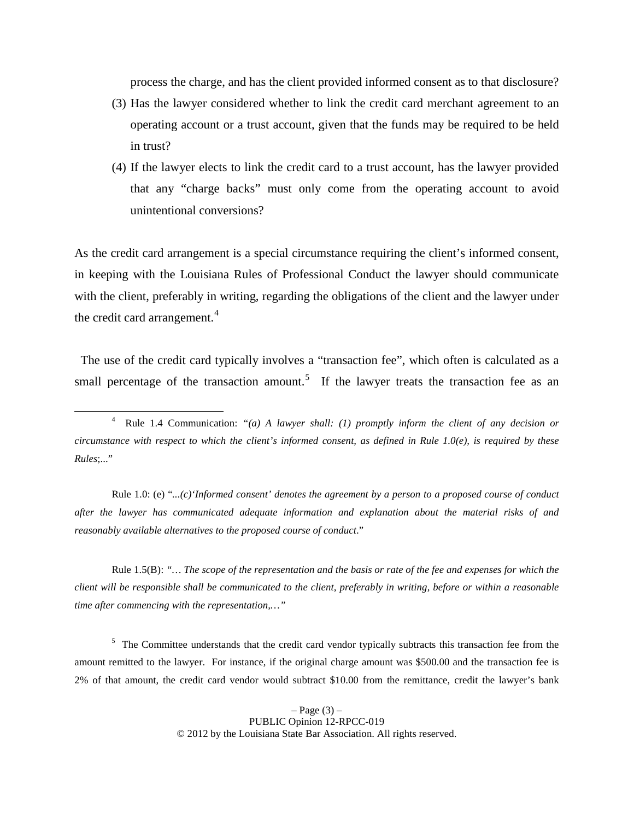process the charge, and has the client provided informed consent as to that disclosure?

- (3) Has the lawyer considered whether to link the credit card merchant agreement to an operating account or a trust account, given that the funds may be required to be held in trust?
- (4) If the lawyer elects to link the credit card to a trust account, has the lawyer provided that any "charge backs" must only come from the operating account to avoid unintentional conversions?

As the credit card arrangement is a special circumstance requiring the client's informed consent, in keeping with the Louisiana Rules of Professional Conduct the lawyer should communicate with the client, preferably in writing, regarding the obligations of the client and the lawyer under the credit card arrangement.<sup>[4](#page-2-0)</sup>

 The use of the credit card typically involves a "transaction fee", which often is calculated as a small percentage of the transaction amount.<sup>[5](#page-2-1)</sup> If the lawyer treats the transaction fee as an

Rule 1.0: (e) "*...(c)'Informed consent' denotes the agreement by a person to a proposed course of conduct after the lawyer has communicated adequate information and explanation about the material risks of and reasonably available alternatives to the proposed course of conduct*."

Rule 1.5(B): *"… The scope of the representation and the basis or rate of the fee and expenses for which the client will be responsible shall be communicated to the client, preferably in writing, before or within a reasonable time after commencing with the representation,…"*

<span id="page-2-1"></span><sup>5</sup> The Committee understands that the credit card vendor typically subtracts this transaction fee from the amount remitted to the lawyer. For instance, if the original charge amount was \$500.00 and the transaction fee is 2% of that amount, the credit card vendor would subtract \$10.00 from the remittance, credit the lawyer's bank

<span id="page-2-0"></span> <sup>4</sup> Rule 1.4 Communication: *"(a) A lawyer shall: (1) promptly inform the client of any decision or circumstance with respect to which the client's informed consent, as defined in Rule 1.0(e), is required by these Rules*;..."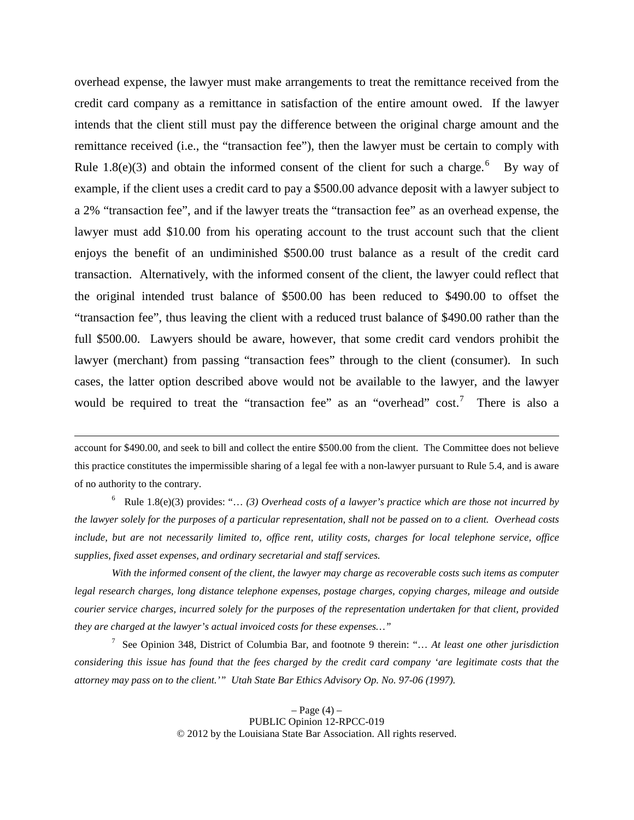overhead expense, the lawyer must make arrangements to treat the remittance received from the credit card company as a remittance in satisfaction of the entire amount owed. If the lawyer intends that the client still must pay the difference between the original charge amount and the remittance received (i.e., the "transaction fee"), then the lawyer must be certain to comply with Rule 1.8(e)(3) and obtain the informed consent of the client for such a charge.<sup>[6](#page-3-0)</sup> By way of example, if the client uses a credit card to pay a \$500.00 advance deposit with a lawyer subject to a 2% "transaction fee", and if the lawyer treats the "transaction fee" as an overhead expense, the lawyer must add \$10.00 from his operating account to the trust account such that the client enjoys the benefit of an undiminished \$500.00 trust balance as a result of the credit card transaction. Alternatively, with the informed consent of the client, the lawyer could reflect that the original intended trust balance of \$500.00 has been reduced to \$490.00 to offset the "transaction fee", thus leaving the client with a reduced trust balance of \$490.00 rather than the full \$500.00. Lawyers should be aware, however, that some credit card vendors prohibit the lawyer (merchant) from passing "transaction fees" through to the client (consumer). In such cases, the latter option described above would not be available to the lawyer, and the lawyer would be required to treat the "transaction fee" as an "overhead" cost.<sup>[7](#page-3-1)</sup> There is also a

account for \$490.00, and seek to bill and collect the entire \$500.00 from the client. The Committee does not believe this practice constitutes the impermissible sharing of a legal fee with a non-lawyer pursuant to Rule 5.4, and is aware of no authority to the contrary.

 $\overline{a}$ 

<span id="page-3-0"></span>6 Rule 1.8(e)(3) provides: "… *(3) Overhead costs of a lawyer's practice which are those not incurred by the lawyer solely for the purposes of a particular representation, shall not be passed on to a client. Overhead costs include, but are not necessarily limited to, office rent, utility costs, charges for local telephone service, office supplies, fixed asset expenses, and ordinary secretarial and staff services.* 

*With the informed consent of the client, the lawyer may charge as recoverable costs such items as computer legal research charges, long distance telephone expenses, postage charges, copying charges, mileage and outside courier service charges, incurred solely for the purposes of the representation undertaken for that client, provided they are charged at the lawyer's actual invoiced costs for these expenses…"*

<span id="page-3-1"></span>7 See Opinion 348, District of Columbia Bar, and footnote 9 therein: "… *At least one other jurisdiction considering this issue has found that the fees charged by the credit card company 'are legitimate costs that the attorney may pass on to the client.'" Utah State Bar Ethics Advisory Op. No. 97-06 (1997).*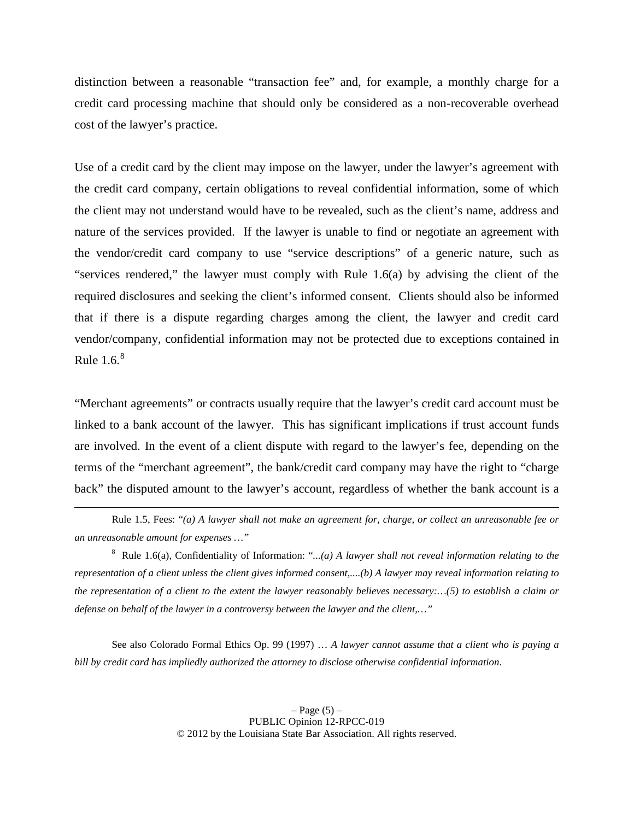distinction between a reasonable "transaction fee" and, for example, a monthly charge for a credit card processing machine that should only be considered as a non-recoverable overhead cost of the lawyer's practice.

Use of a credit card by the client may impose on the lawyer, under the lawyer's agreement with the credit card company, certain obligations to reveal confidential information, some of which the client may not understand would have to be revealed, such as the client's name, address and nature of the services provided. If the lawyer is unable to find or negotiate an agreement with the vendor/credit card company to use "service descriptions" of a generic nature, such as "services rendered," the lawyer must comply with Rule 1.6(a) by advising the client of the required disclosures and seeking the client's informed consent. Clients should also be informed that if there is a dispute regarding charges among the client, the lawyer and credit card vendor/company, confidential information may not be protected due to exceptions contained in Rule  $1.6<sup>8</sup>$  $1.6<sup>8</sup>$  $1.6<sup>8</sup>$ 

"Merchant agreements" or contracts usually require that the lawyer's credit card account must be linked to a bank account of the lawyer. This has significant implications if trust account funds are involved. In the event of a client dispute with regard to the lawyer's fee, depending on the terms of the "merchant agreement", the bank/credit card company may have the right to "charge back" the disputed amount to the lawyer's account, regardless of whether the bank account is a

See also Colorado Formal Ethics Op. 99 (1997) … *A lawyer cannot assume that a client who is paying a bill by credit card has impliedly authorized the attorney to disclose otherwise confidential information*.

Rule 1.5, Fees: "*(a) A lawyer shall not make an agreement for, charge, or collect an unreasonable fee or an unreasonable amount for expenses …"*

<span id="page-4-0"></span><sup>8</sup> Rule 1.6(a), Confidentiality of Information: "*...(a) A lawyer shall not reveal information relating to the representation of a client unless the client gives informed consent,....(b) A lawyer may reveal information relating to the representation of a client to the extent the lawyer reasonably believes necessary:…(5) to establish a claim or defense on behalf of the lawyer in a controversy between the lawyer and the client,…"*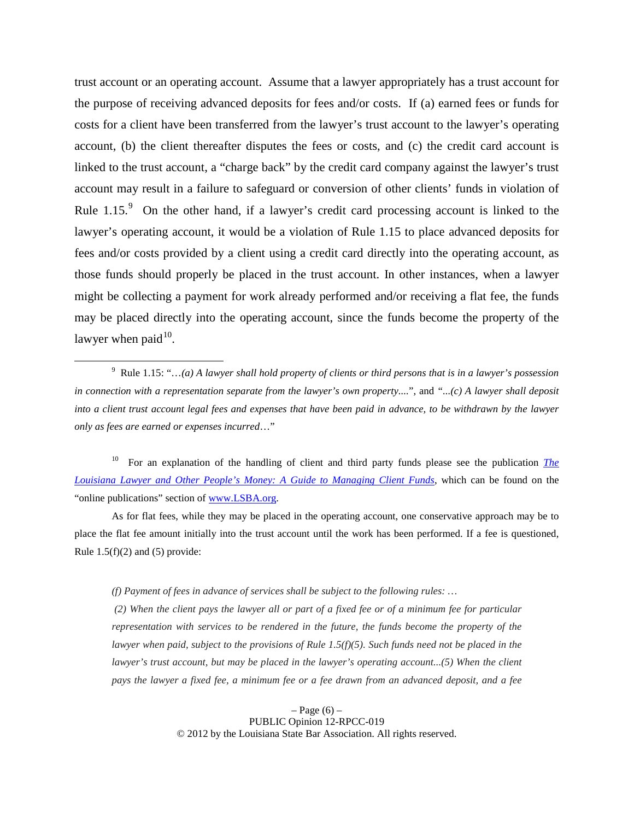trust account or an operating account. Assume that a lawyer appropriately has a trust account for the purpose of receiving advanced deposits for fees and/or costs. If (a) earned fees or funds for costs for a client have been transferred from the lawyer's trust account to the lawyer's operating account, (b) the client thereafter disputes the fees or costs, and (c) the credit card account is linked to the trust account, a "charge back" by the credit card company against the lawyer's trust account may result in a failure to safeguard or conversion of other clients' funds in violation of Rule  $1.15$ .<sup>[9](#page-5-0)</sup> On the other hand, if a lawyer's credit card processing account is linked to the lawyer's operating account, it would be a violation of Rule 1.15 to place advanced deposits for fees and/or costs provided by a client using a credit card directly into the operating account, as those funds should properly be placed in the trust account. In other instances, when a lawyer might be collecting a payment for work already performed and/or receiving a flat fee, the funds may be placed directly into the operating account, since the funds become the property of the lawyer when paid $10$ .

<span id="page-5-1"></span>10 For an explanation of the handling of client and third party funds please see the publication *[The](http://www.lsba.org/2007MemberServices/LOMAPMaterial/OtherPeopleMoney.pdf)  [Louisiana Lawyer and Other People's Money: A Guide to](http://www.lsba.org/2007MemberServices/LOMAPMaterial/OtherPeopleMoney.pdf) Managing Client Funds*, which can be found on the "online publications" section of www.LSBA.org.

As for flat fees, while they may be placed in the operating account, one conservative approach may be to place the flat fee amount initially into the trust account until the work has been performed. If a fee is questioned, Rule  $1.5(f)(2)$  and  $(5)$  provide:

*(f) Payment of fees in advance of services shall be subject to the following rules: …*

*(2) When the client pays the lawyer all or part of a fixed fee or of a minimum fee for particular representation with services to be rendered in the future, the funds become the property of the lawyer when paid, subject to the provisions of Rule 1.5(f)(5). Such funds need not be placed in the lawyer's trust account, but may be placed in the lawyer's operating account...(5) When the client pays the lawyer a fixed fee, a minimum fee or a fee drawn from an advanced deposit, and a fee* 

> $-$  Page  $(6)$  – PUBLIC Opinion 12-RPCC-019 © 2012 by the Louisiana State Bar Association. All rights reserved.

<span id="page-5-0"></span> <sup>9</sup> Rule 1.15: "…*(a) A lawyer shall hold property of clients or third persons that is in a lawyer's possession in connection with a representation separate from the lawyer's own property....*", and *"...(c) A lawyer shall deposit into a client trust account legal fees and expenses that have been paid in advance, to be withdrawn by the lawyer only as fees are earned or expenses incurred*…"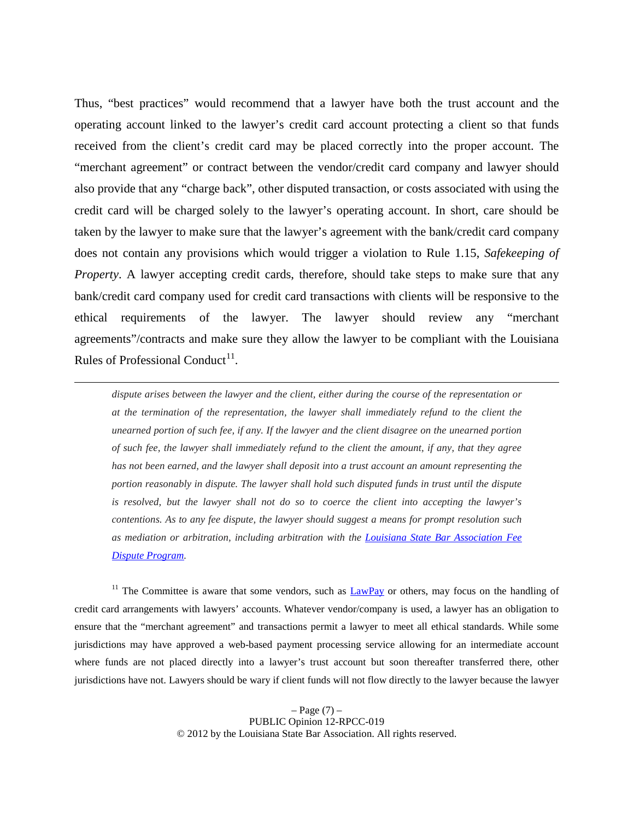Thus, "best practices" would recommend that a lawyer have both the trust account and the operating account linked to the lawyer's credit card account protecting a client so that funds received from the client's credit card may be placed correctly into the proper account. The "merchant agreement" or contract between the vendor/credit card company and lawyer should also provide that any "charge back", other disputed transaction, or costs associated with using the credit card will be charged solely to the lawyer's operating account. In short, care should be taken by the lawyer to make sure that the lawyer's agreement with the bank/credit card company does not contain any provisions which would trigger a violation to Rule 1.15, *Safekeeping of Property*. A lawyer accepting credit cards, therefore, should take steps to make sure that any bank/credit card company used for credit card transactions with clients will be responsive to the ethical requirements of the lawyer. The lawyer should review any "merchant agreements"/contracts and make sure they allow the lawyer to be compliant with the Louisiana Rules of Professional Conduct<sup>11</sup>.

*dispute arises between the lawyer and the client, either during the course of the representation or at the termination of the representation, the lawyer shall immediately refund to the client the unearned portion of such fee, if any. If the lawyer and the client disagree on the unearned portion of such fee, the lawyer shall immediately refund to the client the amount, if any, that they agree has not been earned, and the lawyer shall deposit into a trust account an amount representing the portion reasonably in dispute. The lawyer shall hold such disputed funds in trust until the dispute is resolved, but the lawyer shall not do so to coerce the client into accepting the lawyer's contentions. As to any fee dispute, the lawyer should suggest a means for prompt resolution such as mediation or arbitration, including arbitration with the [Louisiana State Bar Association Fee](http://www.lsba.org/MembershipDirectory/lawyerfee.asp?Menu=MS)  [Dispute Program.](http://www.lsba.org/MembershipDirectory/lawyerfee.asp?Menu=MS)*

 $\overline{a}$ 

<span id="page-6-0"></span><sup>11</sup> The Committee is aware that some vendors, such as  $\frac{LawPay}{U}$  or others, may focus on the handling of credit card arrangements with lawyers' accounts. Whatever vendor/company is used, a lawyer has an obligation to ensure that the "merchant agreement" and transactions permit a lawyer to meet all ethical standards. While some jurisdictions may have approved a web-based payment processing service allowing for an intermediate account where funds are not placed directly into a lawyer's trust account but soon thereafter transferred there, other jurisdictions have not. Lawyers should be wary if client funds will not flow directly to the lawyer because the lawyer

> $-$  Page  $(7)$  – PUBLIC Opinion 12-RPCC-019 © 2012 by the Louisiana State Bar Association. All rights reserved.